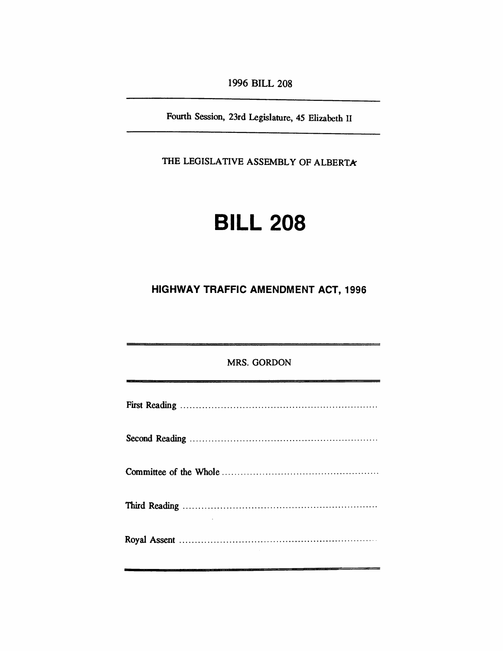*1996 BILL 208*

*Fourth Session, 23rd Legislature, 45 Elizabeth II*

*THE LEGISLATIVE ASSEMBLY OF ALBERTA*

# *BILL 208*

## *HIGHWAY TRAFFIC AMENDMENT ACT, 1996*

| <b>MRS. GORDON</b> |
|--------------------|
|                    |
|                    |
|                    |
|                    |
|                    |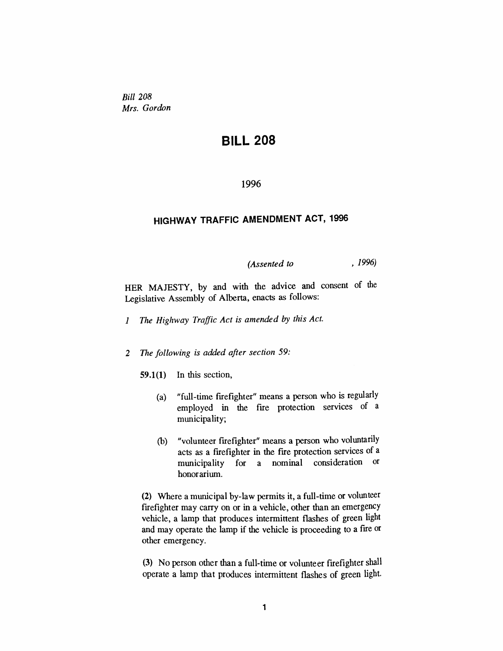*Bill 208 Mrs. Gordon*

## *BILL 208*

#### *1996*

### *HIGHWAY TRAFFIC AMENDMENT ACT, 1996*

*(Assented to , 1996)*

*HER MAJESTY, by and with the advice and consent of the Legislative Assembly of Alberta, enacts as follows:*

- *<sup>1</sup> The Highway Traffic Act is amended by this Act.*
- *2 The following is added after section 59:*
	- *59.1(1) In this section,*
		- *(a) "full-time firefighter" means a person who is regularly employed in the fire protection services of a municipality;*
		- *(b) "volunteer firefighter" means a person who voluntarily acts as a firefighter in the fire protection services of a municipality for a nominal honorarium.*

*(2) Where a municipal by-law permits it, a full-time or volunteer firefighter may carry on or in a vehicle, other than an emergency vehicle, a lamp that produces intermittent flashes of green light and may operate the lamp if the vehicle is proceeding to a fire or other emergency.*

*(3) No person other than a full-time or volunteer firefighter shall operate a lamp that produces intermittent flashes of green light.*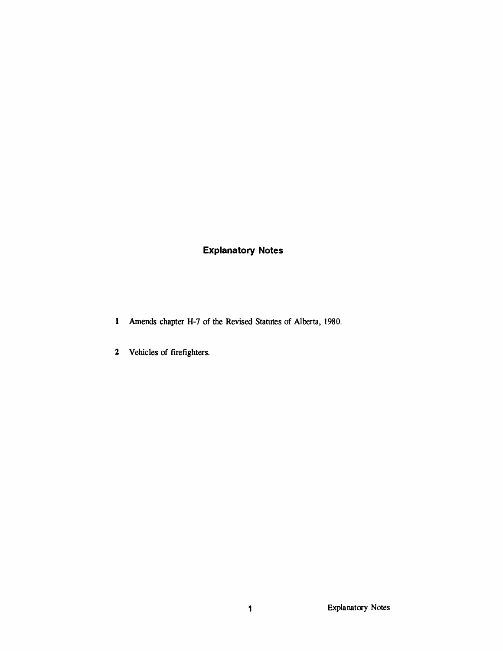## *Explanatory Notes*

- *Amends chapter H-7 of the Revised Statutes of Alberta, 1980.*
- *Vehicles of firefighters.*